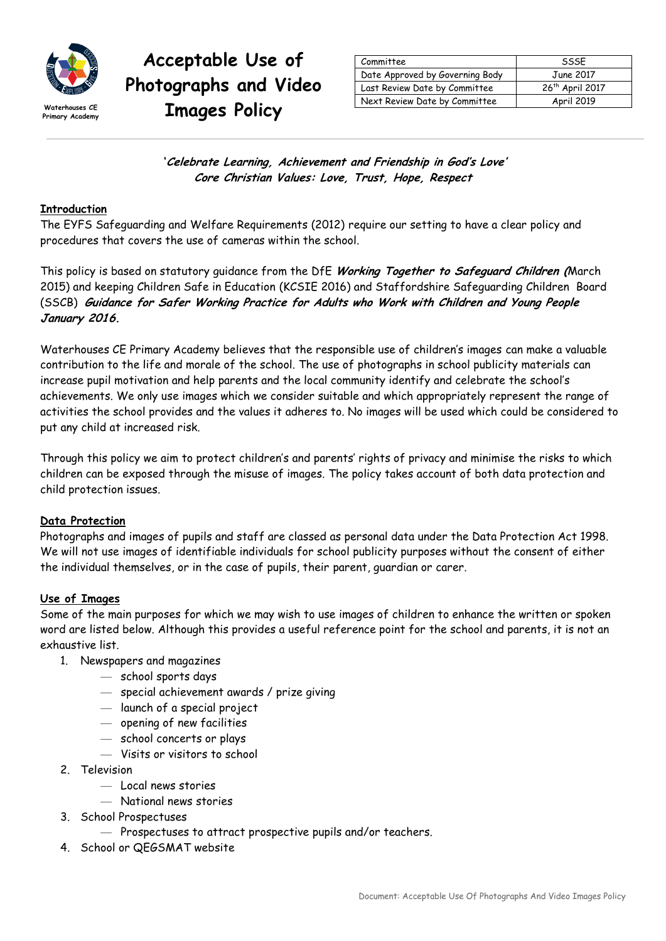

# **Acceptable Use of Photographs and Video**  Waterhouses CE **Trages Policy**

| Committee                       | SSSF                        |  |
|---------------------------------|-----------------------------|--|
| Date Approved by Governing Body | June 2017                   |  |
| Last Review Date by Committee   | 26 <sup>th</sup> April 2017 |  |
| Next Review Date by Committee   | <b>April 2019</b>           |  |

**'Celebrate Learning, Achievement and Friendship in God's Love' Core Christian Values: Love, Trust, Hope, Respect**

#### **Introduction**

The EYFS Safeguarding and Welfare Requirements (2012) require our setting to have a clear policy and procedures that covers the use of cameras within the school.

This policy is based on statutory guidance from the DfE **Working Together to Safeguard Children (**March 2015) and keeping Children Safe in Education (KCSIE 2016) and Staffordshire Safeguarding Children Board (SSCB) **Guidance for Safer Working Practice for Adults who Work with Children and Young People January 2016.** 

Waterhouses CE Primary Academy believes that the responsible use of children's images can make a valuable contribution to the life and morale of the school. The use of photographs in school publicity materials can increase pupil motivation and help parents and the local community identify and celebrate the school's achievements. We only use images which we consider suitable and which appropriately represent the range of activities the school provides and the values it adheres to. No images will be used which could be considered to put any child at increased risk.

Through this policy we aim to protect children's and parents' rights of privacy and minimise the risks to which children can be exposed through the misuse of images. The policy takes account of both data protection and child protection issues.

#### **Data Protection**

Photographs and images of pupils and staff are classed as personal data under the Data Protection Act 1998. We will not use images of identifiable individuals for school publicity purposes without the consent of either the individual themselves, or in the case of pupils, their parent, guardian or carer.

#### **Use of Images**

Some of the main purposes for which we may wish to use images of children to enhance the written or spoken word are listed below. Although this provides a useful reference point for the school and parents, it is not an exhaustive list.

- 1. Newspapers and magazines
	- school sports days
	- special achievement awards / prize giving
	- launch of a special project
	- opening of new facilities
	- school concerts or plays
	- Visits or visitors to school
- 2. Television
	- Local news stories
	- National news stories
- 3. School Prospectuses
	- Prospectuses to attract prospective pupils and/or teachers.
- 4. School or QEGSMAT website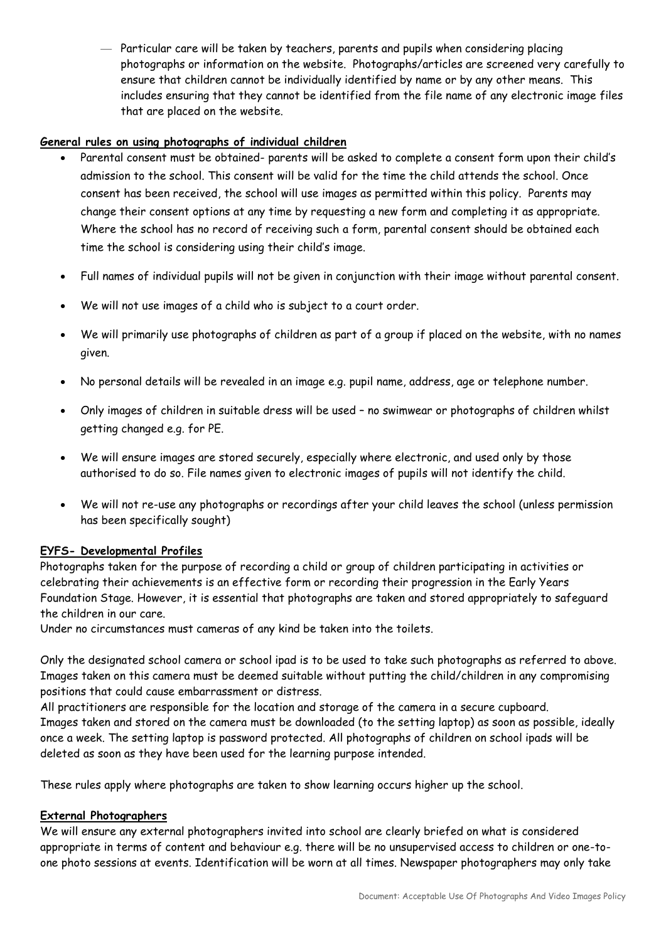— Particular care will be taken by teachers, parents and pupils when considering placing photographs or information on the website. Photographs/articles are screened very carefully to ensure that children cannot be individually identified by name or by any other means. This includes ensuring that they cannot be identified from the file name of any electronic image files that are placed on the website.

#### **General rules on using photographs of individual children**

- Parental consent must be obtained- parents will be asked to complete a consent form upon their child's admission to the school. This consent will be valid for the time the child attends the school. Once consent has been received, the school will use images as permitted within this policy. Parents may change their consent options at any time by requesting a new form and completing it as appropriate. Where the school has no record of receiving such a form, parental consent should be obtained each time the school is considering using their child's image.
- Full names of individual pupils will not be given in conjunction with their image without parental consent.
- We will not use images of a child who is subject to a court order.
- We will primarily use photographs of children as part of a group if placed on the website, with no names given.
- No personal details will be revealed in an image e.g. pupil name, address, age or telephone number.
- Only images of children in suitable dress will be used no swimwear or photographs of children whilst getting changed e.g. for PE.
- We will ensure images are stored securely, especially where electronic, and used only by those authorised to do so. File names given to electronic images of pupils will not identify the child.
- We will not re-use any photographs or recordings after your child leaves the school (unless permission has been specifically sought)

#### **EYFS- Developmental Profiles**

Photographs taken for the purpose of recording a child or group of children participating in activities or celebrating their achievements is an effective form or recording their progression in the Early Years Foundation Stage. However, it is essential that photographs are taken and stored appropriately to safeguard the children in our care.

Under no circumstances must cameras of any kind be taken into the toilets.

Only the designated school camera or school ipad is to be used to take such photographs as referred to above. Images taken on this camera must be deemed suitable without putting the child/children in any compromising positions that could cause embarrassment or distress.

All practitioners are responsible for the location and storage of the camera in a secure cupboard. Images taken and stored on the camera must be downloaded (to the setting laptop) as soon as possible, ideally once a week. The setting laptop is password protected. All photographs of children on school ipads will be deleted as soon as they have been used for the learning purpose intended.

These rules apply where photographs are taken to show learning occurs higher up the school.

#### **External Photographers**

We will ensure any external photographers invited into school are clearly briefed on what is considered appropriate in terms of content and behaviour e.g. there will be no unsupervised access to children or one-toone photo sessions at events. Identification will be worn at all times. Newspaper photographers may only take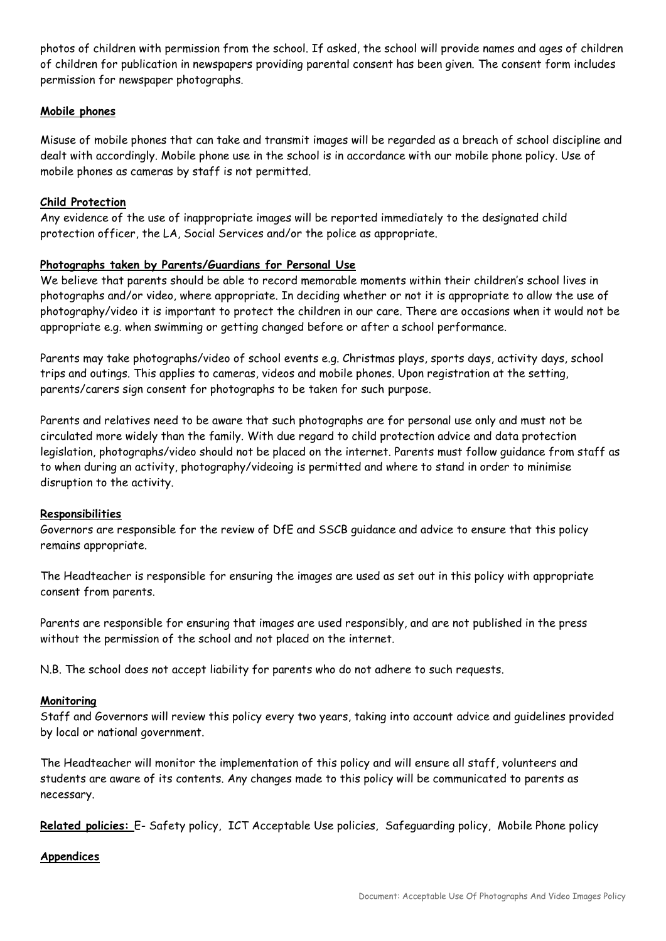photos of children with permission from the school. If asked, the school will provide names and ages of children of children for publication in newspapers providing parental consent has been given. The consent form includes permission for newspaper photographs.

#### **Mobile phones**

Misuse of mobile phones that can take and transmit images will be regarded as a breach of school discipline and dealt with accordingly. Mobile phone use in the school is in accordance with our mobile phone policy. Use of mobile phones as cameras by staff is not permitted.

#### **Child Protection**

Any evidence of the use of inappropriate images will be reported immediately to the designated child protection officer, the LA, Social Services and/or the police as appropriate.

#### **Photographs taken by Parents/Guardians for Personal Use**

We believe that parents should be able to record memorable moments within their children's school lives in photographs and/or video, where appropriate. In deciding whether or not it is appropriate to allow the use of photography/video it is important to protect the children in our care. There are occasions when it would not be appropriate e.g. when swimming or getting changed before or after a school performance.

Parents may take photographs/video of school events e.g. Christmas plays, sports days, activity days, school trips and outings. This applies to cameras, videos and mobile phones. Upon registration at the setting, parents/carers sign consent for photographs to be taken for such purpose.

Parents and relatives need to be aware that such photographs are for personal use only and must not be circulated more widely than the family. With due regard to child protection advice and data protection legislation, photographs/video should not be placed on the internet. Parents must follow guidance from staff as to when during an activity, photography/videoing is permitted and where to stand in order to minimise disruption to the activity.

#### **Responsibilities**

Governors are responsible for the review of DfE and SSCB guidance and advice to ensure that this policy remains appropriate.

The Headteacher is responsible for ensuring the images are used as set out in this policy with appropriate consent from parents.

Parents are responsible for ensuring that images are used responsibly, and are not published in the press without the permission of the school and not placed on the internet.

N.B. The school does not accept liability for parents who do not adhere to such requests.

#### **Monitoring**

Staff and Governors will review this policy every two years, taking into account advice and guidelines provided by local or national government.

The Headteacher will monitor the implementation of this policy and will ensure all staff, volunteers and students are aware of its contents. Any changes made to this policy will be communicated to parents as necessary.

**Related policies:** E- Safety policy, ICT Acceptable Use policies, Safeguarding policy, Mobile Phone policy

#### **Appendices**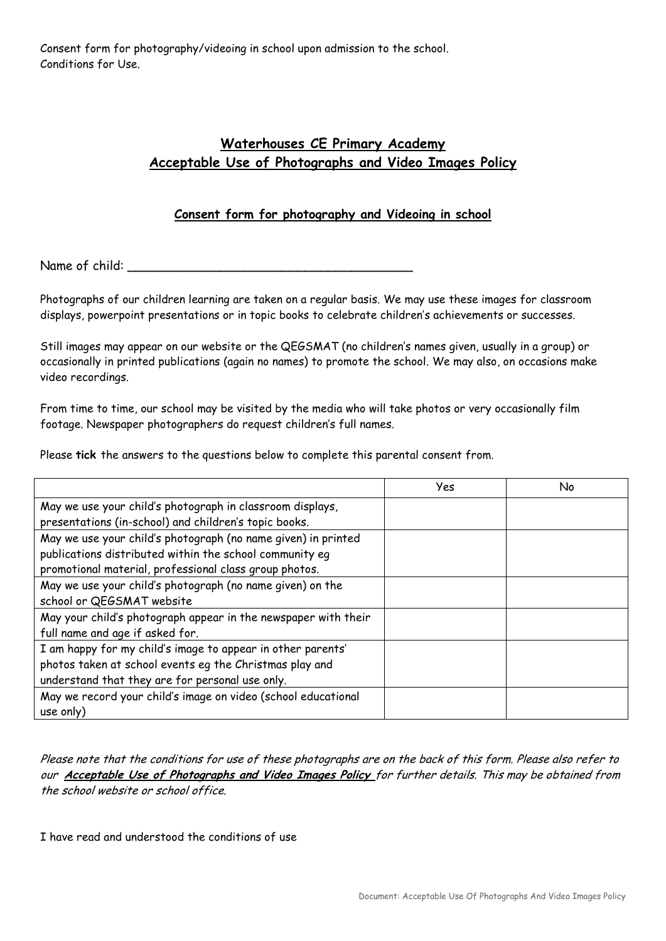Consent form for photography/videoing in school upon admission to the school. Conditions for Use.

## **Waterhouses CE Primary Academy Acceptable Use of Photographs and Video Images Policy**

### **Consent form for photography and Videoing in school**

Name of child:

Photographs of our children learning are taken on a regular basis. We may use these images for classroom displays, powerpoint presentations or in topic books to celebrate children's achievements or successes.

Still images may appear on our website or the QEGSMAT (no children's names given, usually in a group) or occasionally in printed publications (again no names) to promote the school. We may also, on occasions make video recordings.

From time to time, our school may be visited by the media who will take photos or very occasionally film footage. Newspaper photographers do request children's full names.

Please **tick** the answers to the questions below to complete this parental consent from.

|                                                                | Yes | No |
|----------------------------------------------------------------|-----|----|
| May we use your child's photograph in classroom displays,      |     |    |
| presentations (in-school) and children's topic books.          |     |    |
| May we use your child's photograph (no name given) in printed  |     |    |
| publications distributed within the school community eq        |     |    |
| promotional material, professional class group photos.         |     |    |
| May we use your child's photograph (no name given) on the      |     |    |
| school or QEGSMAT website                                      |     |    |
| May your child's photograph appear in the newspaper with their |     |    |
| full name and age if asked for.                                |     |    |
| I am happy for my child's image to appear in other parents'    |     |    |
| photos taken at school events eg the Christmas play and        |     |    |
| understand that they are for personal use only.                |     |    |
| May we record your child's image on video (school educational  |     |    |
| use only)                                                      |     |    |

Please note that the conditions for use of these photographs are on the back of this form. Please also refer to our **Acceptable Use of Photographs and Video Images Policy** for further details. This may be obtained from the school website or school office.

I have read and understood the conditions of use